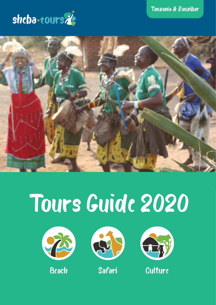



# Tours Guide 2020







Beach Safari Culture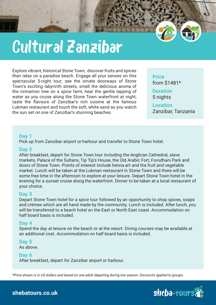# Cultural Zanzibar

Explore vibrant, historical Stone Town, discover fruits and spices then relax on a paradise beach. Engage all your senses on this spectacular 5-night tour; see the ornate doorways of Stone Town's exciting labyrinth streets, smell the delicious aroma of the cinnamon tree on a spice farm, hear the gentle lapping of water as you cruise along the Stone Town waterfront at night, taste the flavours of Zanzibar's rich cuisine at the famous Lukman restaurant and touch the soft, white sand as you watch the sun set on one of Zanzibar's stunning beaches.

**Price** from \$1481\*

**Duration** 5 nights

**Location** Zanzibar, Tanzania

# **Day 1**

Pick up from Zanzibar airport or harbour and transfer to Stone Town hotel.

# **Day 2**

After breakfast, depart for Stone Town tour including the Anglican Cathedral, slave markets, Palace of the Sultans, Tip Tip's House, the Old Arabic Fort, Forodhani Park and doors of Stone Town. Points of interest include henna art and the fruit and vegetable market. Lunch will be taken at the Lukman restaurant in Stone Town and there will be some free time in the afternoon to explore at your leisure. Depart Stone Town hotel in the evening for a sunset cruise along the waterfront. Dinner to be taken at a local restaurant of your choice.

# **Day 3**

Depart Stone Town hotel for a spice tour followed by an opportunity to shop spices, soaps and crèmes which are all hand made by the community. Lunch is included. After lunch, you will be transferred to a beach hotel on the East or North East coast. Accommodation on half board basis is included.

# **Day 4**

Spend the day at leisure on the beach or at the resort. Diving courses may be available at an additional cost. Accommodation on half board basis is included.

**Day 5** As above.

# **Day 6**

After breakfast, depart for Zanzibar airport or harbour.

*\*Price shown is in US dollars and based on one adult departing during low season. Discounts applied to groups.*

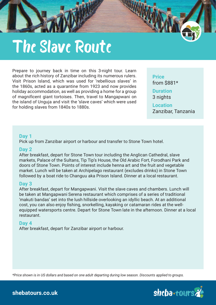

Prepare to journey back in time on this 3-night tour. Learn about the rich history of Zanzibar including its numerous rulers. Visit Prison Island, which was used for 'rebellious slaves' in the 1860s, acted as a quarantine from 1923 and now provides holiday accommodation, as well as providing a home for a group of magnificent giant tortoises. Then, travel to Mangapwani on the island of Unguja and visit the 'slave caves' which were used for holding slaves from 1840s to 1880s.

**Price** from \$881\* **Duration** 3 nights **Location** Zanzibar, Tanzania

### **Day 1**

Pick up from Zanzibar airport or harbour and transfer to Stone Town hotel.

### **Day 2**

After breakfast, depart for Stone Town tour including the Anglican Cathedral, slave markets, Palace of the Sultans, Tip Tip's House, the Old Arabic Fort, Forodhani Park and doors of Stone Town. Points of interest include henna art and the fruit and vegetable market. Lunch will be taken at Archipelago restaurant (excludes drinks) in Stone Town followed by a boat ride to Changuu aka Prison Island. Dinner at a local restaurant.

# **Day 3**

After breakfast, depart for Mangapwani. Visit the slave caves and chambers. Lunch will be taken at Mangapwani Serena restaurant which comprises of a series of traditional 'makuti bandas' set into the lush hillside overlooking an idyllic beach. At an additional cost, you can also enjoy fishing, snorkelling, kayaking or catamaran rides at the wellequipped watersports centre. Depart for Stone Town late in the afternoon. Dinner at a local restaurant.

### **Day 4**

After breakfast, depart for Zanzibar airport or harbour.

*\*Price shown is in US dollars and based on one adult departing during low season. Discounts applied to groups.*

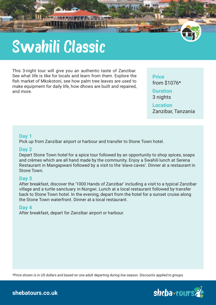# Swahili Classic

This 3-night tour will give you an authentic taste of Zanzibar. See what life is like for locals and learn from them. Explore the fish market of Mkokotoni, see how palm tree leaves are used to make equipment for daily life, how dhows are built and repaired, and more.

**Price** from \$1076\*

**Duration** 3 nights

**Location**

Zanzibar, Tanzania

# **Day 1**

Pick up from Zanzibar airport or harbour and transfer to Stone Town hotel.

# **Day 2**

Depart Stone Town hotel for a spice tour followed by an opportunity to shop spices, soaps and crèmes which are all hand made by the community. Enjoy a Swahili lunch at Serena Restaurant in Mangapwani followed by a visit to the 'slave caves'. Dinner at a restaurant in Stone Town.

# **Day 3**

After breakfast, discover the '1000 Hands of Zanzibar' including a visit to a typical Zanzibar village and a turtle sanctuary in Nungwi. Lunch at a local restaurant followed by transfer back to Stone Town hotel. In the evening, depart from the hotel for a sunset cruise along the Stone Town waterfront. Dinner at a local restaurant.

# **Day 4**

After breakfast, depart for Zanzibar airport or harbour.

*\*Price shown is in US dollars and based on one adult departing during low season. Discounts applied to groups.*

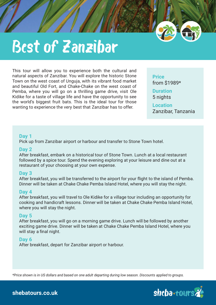

# Best of Zanzibar

This tour will allow you to experience both the cultural and natural aspects of Zanzibar. You will explore the historic Stone Town on the west coast of Unguja, with its vibrant food market and beautiful Old Fort, and Chake-Chake on the west coast of Pemba, where you will go on a thrilling game drive, visit Ole Kidike for a taste of village life and have the opportunity to see the world's biggest fruit bats. This is the ideal tour for those wanting to experience the very best that Zanzibar has to offer.

**Price** from \$1989\*

**Duration** 5 nights

**Location** Zanzibar, Tanzania

# **Day 1**

Pick up from Zanzibar airport or harbour and transfer to Stone Town hotel.

### **Day 2**

After breakfast, embark on a historical tour of Stone Town. Lunch at a local restaurant followed by a spice tour. Spend the evening exploring at your leisure and dine out at a restaurant of your choosing at your own expense.

### **Day 3**

After breakfast, you will be transferred to the airport for your flight to the island of Pemba. Dinner will be taken at Chake Chake Pemba Island Hotel, where you will stay the night.

### **Day 4**

After breakfast, you will travel to Ole Kidike for a village tour including an opportunity for cooking and handicraft lessons. Dinner will be taken at Chake Chake Pemba Island Hotel, where you will stay the night.

# **Day 5**

After breakfast, you will go on a morning game drive. Lunch will be followed by another exciting game drive. Dinner will be taken at Chake Chake Pemba Island Hotel, where you will stay a final night.

# **Day 6**

After breakfast, depart for Zanzibar airport or harbour.

*\*Price shown is in US dollars and based on one adult departing during low season. Discounts applied to groups.*

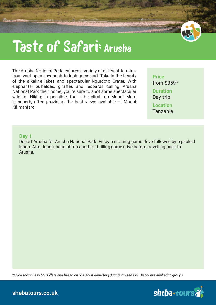# Taste of Safari: Arusha

The Arusha National Park features a variety of different terrains, from vast open savannah to lush grassland. Take in the beauty of the alkaline lakes and spectacular Ngurdoto Crater. With elephants, buffaloes, giraffes and leopards calling Arusha National Park their home, you're sure to spot some spectacular wildlife. Hiking is possible, too - the climb up Mount Meru is superb, often providing the best views available of Mount Kilimanjaro.

**Price** from \$359\* **Duration** Day trip **Location**

Tanzania

#### **Day 1**

Depart Arusha for Arusha National Park. Enjoy a morning game drive followed by a packed lunch. After lunch, head off on another thrilling game drive before travelling back to Arusha.

*\*Price shown is in US dollars and based on one adult departing during low season. Discounts applied to groups.*

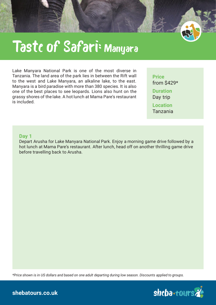

# Taste of Safari: Manyara

Lake Manyara National Park is one of the most diverse in Tanzania. The land area of the park lies in between the Rift wall to the west and Lake Manyara, an alkaline lake, to the east. Manyara is a bird paradise with more than 380 species. It is also one of the best places to see leopards. Lions also hunt on the grassy shores of the lake. A hot lunch at Mama Pare's restaurant is included.

**Price** from \$429\* **Duration** Day trip **Location** Tanzania

#### **Day 1**

Depart Arusha for Lake Manyara National Park. Enjoy a morning game drive followed by a hot lunch at Mama Pare's restaurant. After lunch, head off on another thrilling game drive before travelling back to Arusha.

*\*Price shown is in US dollars and based on one adult departing during low season. Discounts applied to groups.*

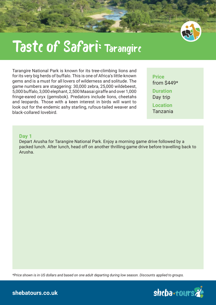

# Taste of Safari: Tarangire

Tarangire National Park is known for its tree-climbing lions and for its very big herds of buffalo. This is one of Africa's little-known gems and is a must for all lovers of wilderness and solitude. The game numbers are staggering: 30,000 zebra, 25,000 wildebeest, 5,000 buffalo, 3,000 elephant, 2,500 Maasai giraffe and over 1,000 fringe-eared oryx (gemsbok). Predators include lions, cheetahs and leopards. Those with a keen interest in birds will want to look out for the endemic ashy starling, rufous-tailed weaver and black-collared lovebird.

**Price** from \$449\* **Duration** Day trip **Location** Tanzania

#### **Day 1**

Depart Arusha for Tarangire National Park. Enjoy a morning game drive followed by a packed lunch. After lunch, head off on another thrilling game drive before travelling back to Arusha.

*\*Price shown is in US dollars and based on one adult departing during low season. Discounts applied to groups.*

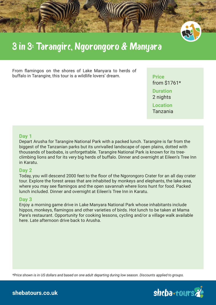

# 3 in 3: Tarangire, Ngorongoro & Manyara

From flamingos on the shores of Lake Manyara to herds of buffalo in Tarangire, this tour is a wildlife lovers' dream. **Price** 

from \$1761\* **Duration** 2 nights **Location** Tanzania

# **Day 1**

Depart Arusha for Tarangire National Park with a packed lunch. Tarangire is far from the biggest of the Tanzanian parks but its unrivalled landscape of open plains, dotted with thousands of baobabs, is unforgettable. Tarangire National Park is known for its treeclimbing lions and for its very big herds of buffalo. Dinner and overnight at Eileen's Tree Inn in Karatu.

# **Day 2**

Today, you will descend 2000 feet to the floor of the Ngorongoro Crater for an all day crater tour. Explore the forest areas that are inhabited by monkeys and elephants, the lake area, where you may see flamingos and the open savannah where lions hunt for food. Packed lunch included. Dinner and overnight at Eileen's Tree Inn in Karatu.

### **Day 3**

Enjoy a morning game drive in Lake Manyara National Park whose inhabitants include hippos, monkeys, flamingos and other varieties of birds. Hot lunch to be taken at Mama Pare's restaurant. Opportunity for cooking lessons, cycling and/or a village walk available here. Late afternoon drive back to Arusha.

*\*Price shown is in US dollars and based on one adult departing during low season. Discounts applied to groups.*

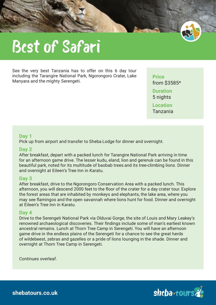

See the very best Tanzania has to offer on this 6 day tour including the Tarangire National Park, Ngorongoro Crater, Lake Manyara and the mighty Serengeti.

**Price** from \$3585\* **Duration** 5 nights

**Location** Tanzania

### **Day 1**

Pick up from airport and transfer to Sheba Lodge for dinner and overnight.

### **Day 2**

After breakfast, depart with a packed lunch for Tarangire National Park arriving in time for an afternoon game drive. The lesser kudu, eland, lion and gerenuk can be found in this beautiful park, noted for its multitude of baobab trees and its tree-climbing lions. Dinner and overnight at Eileen's Tree Inn in Karatu.

### **Day 3**

After breakfast, drive to the Ngorongoro Conservation Area with a packed lunch. This afternoon, you will descend 2000 feet to the floor of the crater for a day crater tour. Explore the forest areas that are inhabited by monkeys and elephants, the lake area, where you may see flamingos and the open savannah where lions hunt for food. Dinner and overnight at Eileen's Tree Inn in Karatu.

### **Day 4**

Drive to the Serengeti National Park via Olduvai Gorge, the site of Louis and Mary Leakey's renowned archaeological discoveries. Their findings include some of man's earliest known ancestral remains. Lunch at Thorn Tree Camp in Serengeti. You will have an afternoon game drive in the endless plains of the Serengeti for a chance to see the great herds of wildebeest, zebras and gazelles or a pride of lions lounging in the shade. Dinner and overnight at Thorn Tree Camp in Serengeti.

Continues overleaf.

shcba+tours